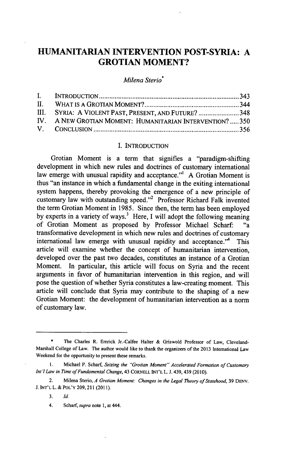# **HUMANITARIAN INTERVENTION POST-SYRIA: A GROTIAN MOMENT?**

*Milena* Sterio\*

| III. SYRIA: A VIOLENT PAST, PRESENT, AND FUTURE? 348      |  |
|-----------------------------------------------------------|--|
| IV. A NEW GROTIAN MOMENT: HUMANITARIAN INTERVENTION?  350 |  |
|                                                           |  |

#### **I. INTRODUCTION**

Grotian Moment is a term that signifies a "paradigm-shifting development in which new rules and doctrines of customary international law emerge with unusual rapidity and acceptance."' **A** Grotian Moment is thus "an instance in which a fundamental change in the exiting international system happens, thereby provoking the emergence of a new principle of customary law with outstanding speed."<sup>2</sup> Professor Richard Falk invented the term Grotian Moment in **1985.** Since then, the term has been employed by experts in a variety of ways.<sup>3</sup> Here, I will adopt the following meaning of Grotian Moment as proposed **by** Professor Michael Scharf: "a transformative development in which new rules and doctrines of customary international law emerge with unusual rapidity and acceptance."<sup>4</sup> This article will examine whether the concept of humanitarian intervention, developed over the past two decades, constitutes an instance of a Grotian Moment. In particular, this article will focus on Syria and the recent arguments in favor of humanitarian intervention in this region, and will pose the question of whether Syria constitutes a law-creating moment. This article will conclude that Syria may contribute to the shaping of a new Grotian Moment: the development of humanitarian intervention as a norm of customary law.

**3.** *Id*

<sup>\*</sup> The Charles R. Emrick Jr.-Calfee Halter **&** Griswold Professor of Law, Cleveland-Marshall College of Law. The author would like to thank the organizers of the **2013** International Law Weekend for the opportunity to present these remarks.

**I.** Michael P. Scharf, *Seizing the "Grotian Moment" Accelerated Formation of Customary Int'l Law in Time of Fundamental Change,* 43 CORNELL **INT'L L. J. 439, 439 (2010).** 

<sup>2.</sup> Milena Sterio, *A Grotian Moment: Changes in the Legal Theory of Statehood,* **39 DENV. J. INT'L** L. **&** POL'Y **209, 211 (2011).**

*<sup>4.</sup>* Scharf, *supra* note **1,** at 444.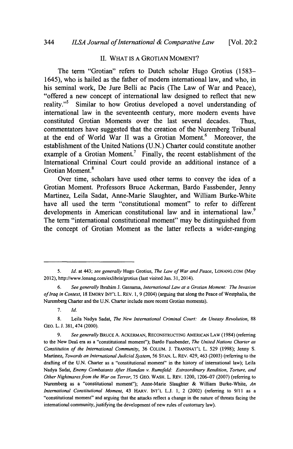## **II.** WHAT **IS A** GROTIAN **MOMENT?**

The term "Grotian" refers to Dutch scholar Hugo Grotius **(1583-** 1645), who is hailed as the father of modern international law, and who, in his seminal work, De Jure Belli ac Pacis (The Law of War and Peace), "offered a new concept of international law designed to reflect that new reality."5 Similar to how Grotius developed a novel understanding of international law in the seventeenth century, more modem events have constituted Grotian Moments over the last several decades. Thus, commentators have suggested that the creation of the Nuremberg Tribunal at the end of World War II was a Grotian Moment.<sup>6</sup> Moreover, the establishment of the United Nations **(U.N.)** Charter could constitute another example of a Grotian Moment.<sup>7</sup> Finally, the recent establishment of the International Criminal Court could provide an additional instance of a Grotian Moment.

Over time, scholars have used other terms to convey the idea of a Grotian Moment. Professors Bruce Ackerman, Bardo Fassbender, Jenny Martinez, Leila Sadat, Anne-Marie Slaughter, and William Burke-White have all used the term "constitutional moment" to refer to different developments in American constitutional law and in international law.<sup>9</sup> The term "international constitutional moment" may be distinguished from the concept of Grotian Moment as the latter reflects a wider-ranging

**<sup>5.</sup>** *Id.* at 443; *see generally* Hugo Grotius, *The Law of War and Peace,* LONANG.COM (May 2012), http://www.lonang.com/exlibris/grotius (last visited Jan. **31,** 2014).

*<sup>6.</sup> See generally* Ibrahim **J.** Gassama, *International Law at a Grotian Moment: The Invasion ofIraq in Context,* **<sup>18</sup>**EMORY **INT'L** L. REv. **1, 9** (2004) (arguing that along the Peace of Westphalia, the Nuremberg Charter and the **U.N.** Charter include more recent Grotian moments).

**<sup>7.</sup>** *Id.*

**<sup>8.</sup>** Leila Nadya Sadat, *The New International Criminal Court: An Uneasy Revolution, 88* **GEO.** L. **J. 381,** 474 (2000).

*<sup>9.</sup> See generally* BRUCE **A.** ACKERMAN, RECONSTRUCTING **AMERICAN** LAW (1984) (referring to the New Deal era as a "constitutional moment"); Bardo Fassbender, *The United Nations Charter as Constitution of the International Community,* **36 COLUM. J. TRANSNAT'L** L. **529 (1998);** Jenny **S.** Martinez, *Towards an International Judicial System,* **56 STAN.** L. REv. 429, 463 **(2003)** (referring to the drafting of the **U.N.** Charter as a "constitutional moment" in the history of international law); Leila Nadya Sadat, *Enemy Combatants After Hamdan v. Rumsfeld: Extraordinary Rendition, Torture, and Other Nightmares from the War on Terror,* **75 GEO.** WASH. L. REv. 1200, **1206-07 (2007)** (referring to Nuremberg as a "constitutional moment"); Anne-Marie Slaughter *&* William Burke-White, *An International Constitutional Moment,* 43 **HARV. INT'L L.J. 1,** 2 (2002) (referring to **9/11** as a "constitutional moment" and arguing that the attacks reflect a change in the nature of threats facing the international community, justifying the development of new rules of customary law).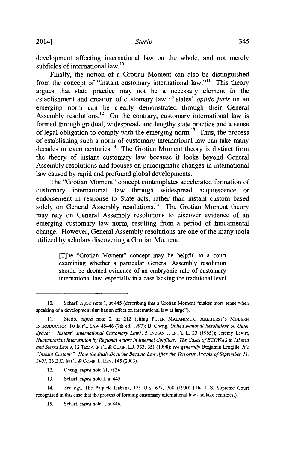development affecting international law on the whole, and not merely subfields of international  $law<sup>10</sup>$ 

Finally, the notion of a Grotian Moment can also be distinguished from the concept of "instant customary international law."<sup>11</sup> This theory argues that state practice may not be a necessary element in the establishment and creation of customary law if states' *opinio juris* on an emerging norm can be clearly demonstrated through their General Assembly resolutions.<sup>12</sup> On the contrary, customary international law is formed through gradual, widespread, and lengthy state practice and a sense of legal obligation to comply with the emerging norm.<sup> $\hat{B}$ </sup> Thus, the process of establishing such a norm of customary international law can take many decades or even centuries.<sup>14</sup> The Grotian Moment theory is distinct from the theory of instant customary law because it looks beyond General Assembly resolutions and focuses on paradigmatic changes in international law caused **by** rapid and profound global developments.

The "Grotian Moment" concept contemplates accelerated formation of customary international law through widespread acquiescence or endorsement in response to State acts, rather than instant custom based solely on General Assembly resolutions.<sup>15</sup> The Grotian Moment theory may rely on General Assembly resolutions to discover evidence of an emerging customary law norm, resulting from a period of fundamental change. However, General Assembly resolutions are one of the many tools utilized **by** scholars discovering a Grotian Moment.

> [T]he "Grotian Moment" concept may be helpful to a court examining whether a particular General Assembly resolution should be deemed evidence of an embryonic rule of customary international law, especially in a case lacking the traditional level

12. *Cheng, supra note* **11,** at **36.**

**13.** Scharf, *supra* note **1,** at 445.

14. *See e.g.,* The Paquete Habana, **175 U.S. 677, 700 (1900)** (The **U.S.** Supreme Court recognized in this case that the process of forming customary international law can take centuries.).

*15.* Scharf, *supra note* **1,** at 446.

<sup>10.</sup> Scharf, *supra* note 1, at 445 (describing that a Grotian Moment "makes more sense when speaking of a development that has an effect on international law at large").

**<sup>11.</sup>** Sterio, *supra* note 2, at 212 (citing PETER **MALANCZUK, AKEHURST'S** MODERN INTRODUCTION To **INT'L LAW** 45-46 (7th ed. **1997);** B. Cheng, *United National Resolutions on Outer Space: "Instant" International Customary Law?, 5* **INDIAN J. INT'L** L. **23 (1965));** Jeremy Levitt, *Humanitarian Intervention by Regional Actors in Internal Conflicts: The Cases ofECOWAS in Liberia and Sierra Leone,* 12 TEMP. **INT'L &** COMP. **L.J. 333,** *351* **(1998):** *see generally* Benjamin Lengille, *It's* "Instant Custom:" How the Bush Doctrine Became Law After the Terrorist Attacks of September 11, *2001,* **26** B.C. **INT'L &** COMP. L. REv. 145 **(2003).**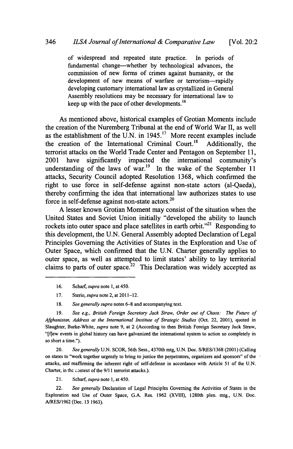of widespread and repeated state practice. In periods of fundamental change-whether **by** technological advances, the commission of new forms of crimes against humanity, or the development of new means of warfare or terrorism-rapidly developing customary international law as crystallized in General Assembly resolutions may be necessary for international law to keep up with the pace of other developments.<sup>16</sup>

As mentioned above, historical examples of Grotian Moments include the creation of the Nuremberg Tribunal at the end of World War H, as well as the establishment of the U.N. in 1945.<sup>17</sup> More recent examples include the creation of the International Criminal Court.<sup>18</sup> Additionally, the the creation of the International Criminal Court.<sup>18</sup> terrorist attacks on the World Trade Center and Pentagon on September **11,** 2001 have significantly impacted the international community's understanding of the laws of war.<sup>19</sup> In the wake of the September 11 attacks, Security Council adopted Resolution **1368,** which confirmed the right to use force in self-defense against non-state actors (al-Qaeda), thereby confirming the idea that international law authorizes states to use force in self-defense against non-state actors.<sup>20</sup>

**A** lesser known Grotian Moment may consist of the situation when the United States and Soviet Union initially "developed the ability to launch rockets into outer space and place satellites in earth orbit."<sup>21</sup> Responding to this development, the **U.N.** General Assembly adopted Declaration of Legal Principles Governing the Activities of States in the Exploration and Use of Outer Space, which confirmed that the **U.N.** Charter generally applies to outer space, as well as attempted to limit states' ability to lay territorial claims to parts of outer space.<sup>22</sup> This Declaration was widely accepted as

**16.** Scharf, *supra note* **1,** at *450.*

**17.** Sterio, *supra* note 2, at 2011-12.

**18.** *See generally supra* notes **6-8** and accompanying text.

**19.** *See e.g., British Foreign Secretary Jack Straw, Order out of Chaos: The Future of Afghanistan, Address at the International Institute of Strategic Studies* (Oct. 22, 2001), quoted in Slaughter, Burke-White, *supra* note **9,** at 2 (According to then British Foreign Secretary Jack Straw, "[flew events in global history can have galvanized the international system to action so completely in so short a time.").

20. *See generally* **U.N.** SCOR, 56th Sess., 4370th mtg, **U.N.** Doc. **S/RES/1368** (2001) (Calling on states to "work together urgently to bring to justice the perpetrators, organizers and sponsors" of the attacks, and reaffirming the inherent right of self-defense in accordance with Article **51** of the **U.N.** Charter, in the zontext of the **9/11** terrorist attacks.).

21. Scharf, *supra* note **1,** at *450.*

22. *See generally* Declaration of Legal Principles Governing the Activities of States in the Exploration and Use of Outer Space, **G.A.** Res. **1962** (XVIll), 1280th plen. mtg., **U.N.** Doc. A/RES/1962 (Dec. **13 1963).**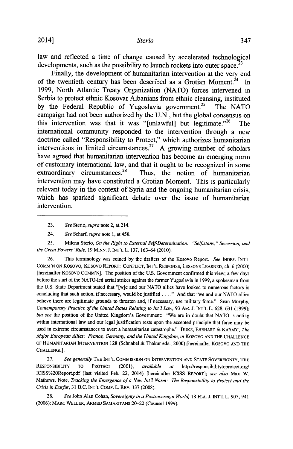law and reflected a time of change caused **by** accelerated technological developments, such as the possibility to launch rockets into outer space.<sup>23</sup>

Finally, the development of humanitarian intervention at the very end of the twentieth century has been described as a Grotian Moment.<sup>24</sup> In **1999,** North Atlantic Treaty Organization **(NATO)** forces intervened in Serbia to protect ethnic Kosovar Albanians from ethnic cleansing, instituted by the Federal Republic of Yugoslavia government.<sup>25</sup> The NATO campaign had not been authorized **by** the **U.N.,** but the global consensus on this intervention was that it was "[unlawful] but legitimate."26 The international community responded to the intervention through a new doctrine called "Responsibility to Protect," which authorizes humanitarian interventions in limited circumstances.<sup>27</sup> A growing number of scholars have agreed that humanitarian intervention has become an emerging norm of customary international law, and that it ought to be recognized in some extraordinary circumstances.<sup>28</sup> Thus, the notion of humanitarian Thus, the notion of humanitarian intervention may have constituted a Grotian Moment. This is particularly relevant today in the context of Syria and the ongoing humanitarian crisis, which has sparked significant debate over the issue of humanitarian intervention.

*25.* Milena Sterio, *On the Right to External Self-Determination: "Selfistans," Secession, and the Great Powers 'Rule,* **19 MINN. J. INT'L** L. **137, 163-64** (2010).

**26.** This terminology was coined **by** the drafters of the Kosovo Report. *See* INDEP. **INT'L** COMM'N ON Kosovo, Kosovo REPORT: CONFLICT, **INT'L RESPONSE,** LESSONS **LEARNED,** ch. **6** (2000) [hereinafter Kosovo **COMM'N].** The position of the **U.S.** Government confirmed this view; a few days before the start of the NATO-led aerial strikes against the former Yugoslavia in **1999,** a spokesman from the **U.S.** State Department stated that "[w]e and our **NATO** allies have looked to numerous factors in concluding that such action, if necessary, would be justified **. . . ."** And that "we and our **NATO** allies believe there are legitimate grounds to threaten and, if necessary, use military force." Sean Murphy, *Contemporary Practice of the United States Relating to Int'l Law,* **93** AM. **J. INT'L** L. **628, 631 (1999);** *but see* the position of the United Kingdom's Government: "We are in doubt that **NATO** is acting within international law and our legal justification rests upon the accepted principle that force may be used in extreme circumstances to avert a humanitarian catastrophe." DUKE, EHRHART *&* KARADI, *The Major European Allies: France, Germany, and the United Kingdom, in* KOSOvO **AND** THE **CHALLENGE** OF **HUMANITARIAN INTERVENTION 128** (Schnabel **&** Thakur eds., 2000) [hereinafter KOSOVO **AND** THE **CHALLENGE].**

**27.** *See generally* THE **INT'L** COMMISSION **ON INTERVENTION AND STATE** SOVEREIGNTY, THE RESPONSIBILITY TO PROTECT (2001), *available at* http://responsibilitytoprotect.org/ ICISS%2OReport.pdf (last visited Feb. 22, 2014) [hereinafter **ICISS** REPORT]; *see also* Max W. Mathews, Note, *Tracking the Emergence of a New Int'l Norm: The Responsibility to Protect and the Crisis in Darfur,* **31** B.C. **INT'L** COMP. L. REV. **137 (2008).**

**28.** *See* John Alan Cohan, *Sovereignty in a Postsovereign World,* **18 FLA. J. INT'L** L. **907,** 941 **(2006);** MARC WELLER, ARMED SAMARITANS 20-22 (Counsel **1999).**

**<sup>23.</sup>** *See Sterio, supra* note 2, at 214.

<sup>24.</sup> *See Scharf, supra* note **1,** at *450.*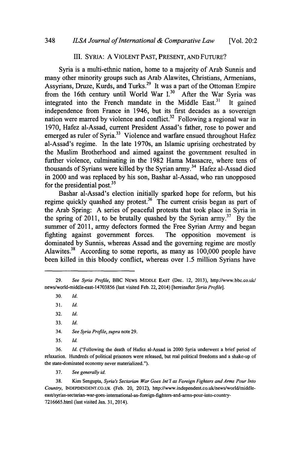#### III. SYRIA: **A VIOLENT PAST, PRESENT, AND** FUTURE?

Syria is a multi-ethnic nation, home to a majority of Arab Sunnis and many other minority groups such as Arab Alawites, Christians, Armenians, Assyrians, Druze, Kurds, and Turks.<sup>29</sup> It was a part of the Ottoman Empire from the 16th century until World War I.<sup>30</sup> After the War Syria was integrated into the French mandate in the Middle East.<sup>31</sup> It gained independence from France in 1946, but its first decades as a sovereign nation were marred by violence and conflict.<sup>32</sup> Following a regional war in **1970,** Hafez al-Assad, current President Assad's father, rose to power and emerged as ruler of Syria.<sup>33</sup> Violence and warfare ensued throughout Hafez al-Assad's regime. In the late 1970s, an Islamic uprising orchestrated **by** the Muslim Brotherhood and aimed against the government resulted in further violence, culminating in the **1982** Hama Massacre, where tens of thousands of Syrians were killed **by** the Syrian army. 34 Hafez al-Assad died in 2000 and was replaced **by** his son, Bashar al-Assad, who ran unopposed for the presidential post. $3<sup>5</sup>$ 

Bashar al-Assad's election initially sparked hope for reform, but his regime quickly quashed any protest.<sup>36</sup> The current crisis began as part of the Arab Spring: **A** series of peaceful protests that took place in Syria in the spring of 2011, to be brutally quashed by the Syrian army.<sup>37</sup> By the summer of **2011,** army defectors formed the Free Syrian Army and began fighting against government forces. The opposition movement is dominated **by** Sunnis, whereas Assad and the governing regime are mostly Alawites.<sup>38</sup> According to some reports, as many as 100,000 people have been killed in this bloody conflict, whereas over *1.5* million Syrians have

**35.** *Id.*

**36.** *Id.* ("Following the death of Hafez al-Assad in 2000 Syria underwent a brief period of relaxation. Hundreds of political prisoners were released, but real political freedoms and a shake-up of the state-dominated economy never materialized.").

**37.** *See generally id.*

**38.** Kim Sengupta, *Syria's Sectarian War Goes Int'l as Foreign Fighters and Arms Pour Into Country,* **INDEPDENDENT.CO.UK** (Feb. 20, 2012), http://www.independent.co.uk/news/world/middleeast/syrias-sectarian-war-goes-intemational-as-foreign-fighters-and-arms-pour-into-country-7216665.html (last visited Jan. **31,** 2014).

**<sup>29.</sup>** *See Syria Profile,* BBC **NEWS** MIDDLE **EAST** (Dec. 12, **2013),** http://www.bbc.co.uk/ news/world-middle-east-14703856 (last visited Feb. 22, 2014) [hereinafter *Syria Profile].*

**<sup>30.</sup>** *Id.*

**<sup>31.</sup>** *Id.*

**<sup>32.</sup>** *Id.*

**<sup>33.</sup>** *Id.*

<sup>34.</sup> *See Syria Profile, supra* note **29.**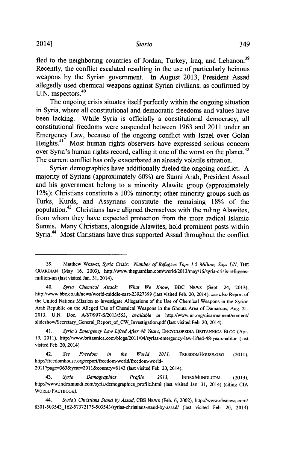2014] *Sterio* 349

fled to the neighboring countries of Jordan, Turkey, Iraq, and Lebanon.<sup>39</sup> Recently, the conflict escalated resulting in the use of particularly heinous weapons **by** the Syrian government. In August **2013,** President Assad allegedly used chemical weapons against Syrian civilians; as confirmed **by** U.N. inspectors.<sup>40</sup>

The ongoing crisis situates itself perfectly within the ongoing situation in Syria, where all constitutional and democratic freedoms and values have been lacking. While Syria is officially a constitutional democracy, all constitutional freedoms were suspended between **1963** and 2011 under an Emergency Law, because of the ongoing conflict with Israel over Golan Heights.<sup>41</sup> Most human rights observers have expressed serious concern over Syria's human rights record, calling it one of the worst on the planet.<sup>42</sup> The current conflict has only exacerbated an already volatile situation.

Syrian demographics have additionally fueled the ongoing conflict. **A** majority of Syrians (approximately **60%)** are Sunni Arab; President Assad and his government belong to a minority Alawite group (approximately 12%); Christians constitute a **10%** minority; other minority groups such as Turks, Kurds, and Assyrians constitute the remaining **18%** of the population.43 Christians have aligned themselves with the ruling Alawites, from whom they have expected protection from the more radical Islamic Sunnis. Many Christians, alongside Alawites, hold prominent posts within Syria.<sup>44</sup> Most Christians have thus supported Assad throughout the conflict

42. *See Freedom in the World 2011,* **FREEDOMHOUSE.ORG** (2011), http://freedomhouse.org/report/freedom-world/freedom-world-

201 l?page=363&year-201 1&country-8143 (last visited Feb. 20, 2014).

**<sup>39.</sup>** Matthew Weaver, *Syria Crisis: Number of Refugees Tops 1.5 Million, Says UN,* THE **GUARDIAN** (May **16, 2003),** http://www.theguardian.com/world/2013/may/16/syria-crisis-refugeesmillion-un (last visited Jan. **31,** 2014).

<sup>40.</sup> *Syria Chemical Attack: What We Know,* BBC **NEWS** (Sept. 24, **2013),** http://www.bbc.co.uk/news/world-middle-east-23927399 (last visited Feb. 20, 2014); *see also* Report of the United Nations Mission to Investigate Allegations of the Use of Chemical Weapons in the Syrian Arab Republic on the Alleged Use of Chemical Weapons in the Ghouta Area of Damascus, Aug. **21, 2013, U.N.** Doc. **A/67/997-S/2013/553,** *available at* http://www.un.org/disarmament/content/ slideshow/Secretary General Report of CW Investigation.pdf (last visited Feb. 20, 2014).

<sup>41.</sup> *Syria's Emergency Law Lifted After 48 Years,* **ENCYCLOPEDIA BRITANNICA** BLOG (Apr. **19, 2011),** http://www.britannica.com/blogs/2011/04/syrias-emergency-law-lifted-48-years-editor (last visited Feb. 20, 2014).

<sup>43.</sup> *Syria Demographics Profile 2013,* **INDEXMUNDI.COM (2013),** http://www.indexmundi.com/syria/demographicsjprofile.html (last visited Jan. **31,** 2014) (citing **CIA WORLD FACTBOOK).**

<sup>44.</sup> *Syria's Christians Stand by Assad,* **CBS NEWS** (Feb. **6,** 2002), http://www.cbsnews.com/ 8301-503543\_162-57372175-503543/syrias-christians-stand-by-assad/ (last visited Feb. 20, 2014)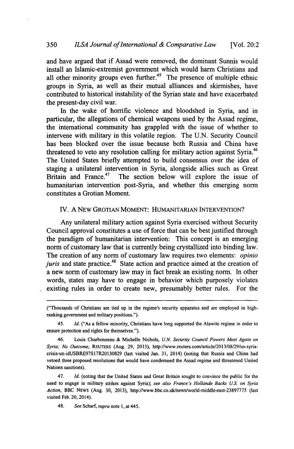and have argued that if Assad were removed, the dominant Sunnis would install an Islamic-extremist government which would harm Christians and all other minority groups even further.<sup>45</sup> The presence of multiple ethnic groups in Syria, as well as their mutual alliances and skirmishes, have contributed to historical instability of the Syrian state and have exacerbated the present-day civil war.

In the wake of horrific violence and bloodshed in Syria, and in particular, the allegations of chemical weapons used **by** the Assad regime, the international community has grappled with the issue of whether to intervene with military in this volatile region. The **U.N.** Security Council has been blocked over the issue because both Russia and China have threatened to veto any resolution calling for military action against Syria.<sup>46</sup> The United States briefly attempted to build consensus over the idea of staging a unilateral intervention in Syria, alongside allies such as Great<br>Britain and France.<sup>47</sup> The section below will explore the issue of The section below will explore the issue of humanitarian intervention post-Syria, and whether this emerging norm constitutes a Grotian Moment.

### IV. **A** NEW GROTIAN **MOMENT:** HUMANITARIAN **INTERVENTION?**

Any unilateral military action against Syria exercised without Security Council approval constitutes a use of force that can be best justified through the paradigm of humanitarian intervention: This concept is an emerging norm of customary law that is currently being crystallized into binding law. The creation of any norm of customary law requires two elements: *opinio juris* and state practice.<sup>48</sup> State action and practice aimed at the creation of a new norm of customary law may in fact break an existing norm. In other words, states may have to engage in behavior which purposely violates existing rules in order to create new, presumably better rules. For the

48. *See Scharf supra* note **1,** at 445.

<sup>(&</sup>quot;Thousands of Christians are tied up in the regime's security apparatus and are employed in highranking government and military positions.").

<sup>45.</sup> *Id.* ("As a fellow minority, Christians have long supported the Alawite regime in order to ensure protection and rights for themselves.").

<sup>46.</sup> Louis Charbonneau **&** Michelle Nichols, *U.N. Security Council Powers Meet Again on Syria; No Outcome,* **REUTERS** (Aug. **29, 2013),** http://www.reuters.com/article/2013/08/29/us-syriacrisis-un-idUSBRE97Sl7R20130829 (last visited Jan. **31,** 2014) (noting that Russia and China had vetoed three proposed resolutions that would have condemned the Assad regime and threatened United Nations sanctions).

<sup>47.</sup> *Id.* (noting that the United States and Great Britain sought to convince the public for the need to engage in military strikes against Syria); *see also France's Hollande Backs US. on Syria Action,* BBC **NEWS** (Aug. **30, 2013),** http://www.bbc.co.uk/news/world-middle-east-23897775 (last visited Feb. 20, 2014).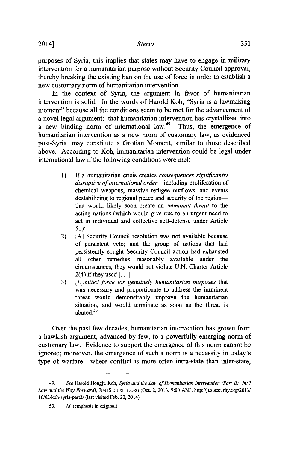purposes of Syria, this implies that states may have to engage in military intervention for a humanitarian purpose without Security Council approval, thereby breaking the existing ban on the use of force in order to establish a new customary norm of humanitarian intervention.

In the context of Syria, the argument in favor of humanitarian intervention is solid. In the words of Harold Koh, "Syria is a lawmaking moment" because all the conditions seem to be met for the advancement of a novel legal argument: that humanitarian intervention has crystallized into a new binding norm of international law.<sup>49</sup> Thus, the emergence of humanitarian intervention as a new norm of customary law, as evidenced post-Syria, may constitute a Grotian Moment, similar to those described above. According to Koh, humanitarian intervention could be legal under international law if the following conditions were met:

- **1) If** a humanitarian crisis creates *consequences significantly* disruptive of international order-including proliferation of chemical weapons, massive refugee outflows, and events destabilizing to regional peace and security of the regionthat would likely soon create an *imminent* threat to the acting nations (which would give rise to an urgent need to act in individual and collective self-defense under Article *5 1);*
- 2) **[A]** Security Council resolution was not available because of persistent veto; and the group of nations that had persistently sought Security Council action had exhausted all other remedies reasonably available under the circumstances, they would not violate **U.N.** Charter Article 2(4) if they used **[ ... ]**
- **3)** *[L]imited force for genuinely humanitarian purposes that* was necessary and proportionate to address the imminent threat would demonstrably improve the humanitarian situation, and would terminate as soon as the threat is abated. $50$

Over the past few decades, humanitarian intervention has grown from a hawkish argument, advanced **by** few, to a powerfully emerging norm of customary law. Evidence to support the emergence of this norm cannot be ignored; moreover, the emergence of such a norm is a necessity in today's type of warfare: where conflict is more often intra-state than inter-state,

*<sup>49.</sup> See* Harold Hongju Koh, *Syria and the Law of Humanitarian Intervention (Part 11: Int'l Law and the Way Forward),* **JuSTSECURITY.ORG** (Oct. 2, **2013, 9:00** *AM),* http://justsecurity.org/2013/ *10/02/koh-syria-part2/* (last visited Feb. 20, 2014).

*<sup>50.</sup> Id.* (emphasis in original).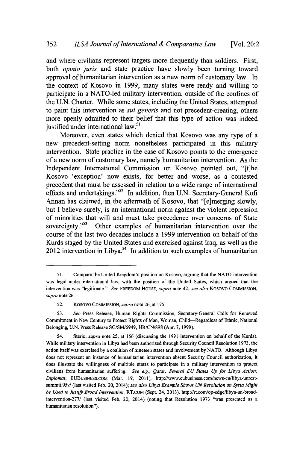and where civilians represent targets more frequently than soldiers. First, both *opinio juris* and state practice have slowly been turning toward approval of humanitarian intervention as a new norm of customary law. In the context of Kosovo in **1999,** many states were ready and willing to participate in a NATO-led military intervention, outside of the confines of the **U.N.** Charter. While some states, including the United States, attempted to paint this intervention as *sui generis* and not precedent-creating, others more openly admitted to their belief that this type of action was indeed justified under international law.<sup>51</sup>

Moreover, even states which denied that Kosovo was any type of a new precedent-setting norm nonetheless participated in this military intervention. State practice in the case of Kosovo points to the emergence of a new norm of customary law, namely humanitarian intervention. As the Independent International Commission on Kosovo pointed out, "[t]he Kosovo 'exception' now exists, for better and worse, as a contested precedent that must be assessed in relation to a wide range of international effects and undertakings."<sup>52</sup> In addition, then U.N. Secretary-General Kofi Annan has claimed, in the aftermath of Kosovo, that "[e]merging slowly, but **I** believe surely, is an international norm against the violent repression of minorities that will and must take precedence over concerns of State<br>sovereignty.<sup>553</sup> Other examples of humanitarian intervention over the Other examples of humanitarian intervention over the course of the last two decades include a **1999** intervention on behalf of the Kurds staged **by** the United States and exercised against Iraq, as well as the 2012 intervention in Libya.<sup>54</sup> In addition to such examples of humanitarian

*<sup>51.</sup>* Compare the United Kingdom's position on Kosovo, arguing that the **NATO** intervention was legal under international law, with the position of the United States, which argued that the intervention was "legitimate." *See* FREEDOM HOUSE, *supra* note 42; *see also* Kosovo COMMISSION, *supra* note **26.**

**<sup>52.</sup>** Kosovo **COMMISSION,** *supra* note **26,** at **175.**

**<sup>53.</sup>** *See* Press Release, Human Rights Commission, Secretary-General Calls for Renewed Commitment in New Century to Protect Rights of Man, Woman, Child-Regardless of Ethnic, National Belonging, **U.N.** Press Release **SG/SM/6949, HR/CN/898** (Apr. **7,1999).**

*<sup>54.</sup>* Sterio, *supra* note *25,* at **156** (discussing the **1991** intervention on behalf of the Kurds). While military intervention in Libya had been authorized through Security Council Resolution **1973,** the action itself was exercised **by** a coalition of nineteen states and involvement **by NATO.** Although Libya does not represent an instance of humanitarian intervention absent Security Council authorization, it does illustrate the willingness of multiple states to participate in a military intervention to protect civilians from humanitarian suffering. *See e.g., Qatar, Several EU States Up for Libya Action: Diplomat,* **EUBUSINESS.COM** (Mar. **19,** 2011), http://www.eubusiness.com/news-eullibya-unrestsummit.95v/ (last visited Feb. 20, 2014); *see also Libya Example Shows UN Resolution on Syria Might be Used to Justify Broad Intervention,* RT.COM (Sept. 24, **2013),** http://rt.com/op-edge/libya-un-broadintervention-277/ (last visited Feb. 20, 2014) (noting that Resolution **1973** "was presented as a humanitarian resolution").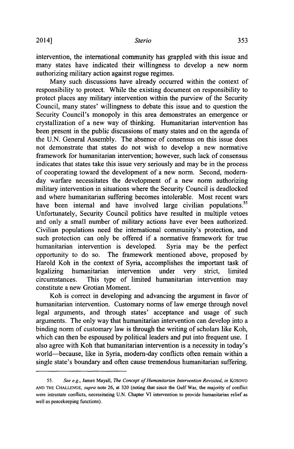intervention, the international community has grappled with this issue and many states have indicated their willingness to develop a new norm authorizing military action against rogue regimes.

Many such discussions have already occurred within the context of responsibility to protect. While the existing document on responsibility to protect places any military intervention within the purview of the Security Council, many states' willingness to debate this issue and to question the Security Council's monopoly in this area demonstrates an emergence or crystallization of a new way of thinking. Humanitarian intervention has been present in the public discussions of many states and on the agenda of the **U.N.** General Assembly. The absence of consensus on this issue does not demonstrate that states do not wish to develop a new normative framework for humanitarian intervention; however, such lack of consensus indicates that states take this issue very seriously and may be in the process of cooperating toward the development of a new norm. Second, modernday warfare necessitates the development of a new norm authorizing military intervention in situations where the Security Council is deadlocked and where humanitarian suffering becomes intolerable. Most recent wars have been internal and have involved large civilian populations.<sup>55</sup> Unfortunately, Security Council politics have resulted in multiple vetoes and only a small number of military actions have ever been authorized. Civilian populations need the international community's protection, and such protection can only be offered if a normative framework for true humanitarian intervention is developed. Syria may be the perfect opportunity to do so. The framework mentioned above, proposed **by** Harold Koh in the context of Syria, accomplishes the important task of legalizing humanitarian intervention under very strict, limited circumstances. This type of limited humanitarian intervention may constitute a new Grotian Moment.

Koh is correct in developing and advancing the argument in favor of humanitarian intervention. Customary norms of law emerge through novel legal arguments, and through states' acceptance and usage of such arguments. The only way that humanitarian intervention can develop into a binding norm of customary law is through the writing of scholars like Koh, which can then be espoused **by** political leaders and put into frequent use. **I** also agree with Koh that humanitarian intervention is a necessity in today's world-because, like in Syria, modern-day conflicts often remain within a single state's boundary and often cause tremendous humanitarian suffering.

**<sup>55.</sup>** See e.g., James Mayall, The *Concept of Humanitarian Intervention Revisited, in* KOSOVO **AND** THE **CHALLENGE,** *supra* note **26,** at **320** (noting that since the Gulf War, the majority of conflict were intrastate conflicts, necessitating **U.N.** Chapter VI intervention to provide humanitarian relief as well as peacekeeping functions).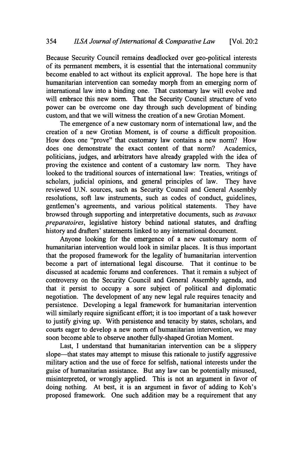Because Security Council remains deadlocked over geo-political interests of its permanent members, it is essential that the international community become enabled to act without its explicit approval. The hope here is that humanitarian intervention can someday morph from an emerging norm of international law into a binding one. That customary law will evolve and will embrace this new norm. That the Security Council structure of veto power can be overcome one day through such development of binding custom, and that we will witness the creation of a new Grotian Moment.

The emergence of a new customary norm of international law, and the creation of a new Grotian Moment, is of course a difficult proposition. How does one "prove" that customary law contains a new norm? How does one demonstrate the exact content of that norm? Academics, politicians, judges, and arbitrators have already grappled with the idea of proving the existence and content of a customary law norm. They have looked to the traditional sources of international law: Treaties, writings of scholars, judicial opinions, and general principles of law. They have reviewed **U.N.** sources, such as Security Council and General Assembly resolutions, soft law instruments, such as codes of conduct, guidelines, gentlemen's agreements, and various political statements. They have browsed through supporting and interpretative documents, such as *travaux preparatoires,* legislative history behind national statutes, and drafting history and drafters' statements linked to any international document.

Anyone looking for the emergence of a new customary norm of humanitarian intervention would look in similar places. It is thus important that the proposed framework for the legality of humanitarian intervention become a part of international legal discourse. That it continue to be discussed at academic forums and conferences. That it remain a subject of controversy on the Security Council and General Assembly agenda, and that it persist to occupy a sore subject of political and diplomatic negotiation. The development of any new legal rule requires tenacity and persistence. Developing a legal framework for humanitarian intervention will similarly require significant effort; it is too important of a task however to justify giving up. With persistence and tenacity **by** states, scholars, and courts eager to develop a new norm of humanitarian intervention, we may soon become able to observe another fully-shaped Grotian Moment.

Last, **I** understand that humanitarian intervention can be a slippery slope—that states may attempt to misuse this rationale to justify aggressive military action and the use of force for selfish, national interests under the guise of humanitarian assistance. But any law can be potentially misused, misinterpreted, or wrongly applied. This is not an argument in favor of doing nothing. At best, it is an argument in favor of adding to Koh's proposed framework. One such addition may be a requirement that any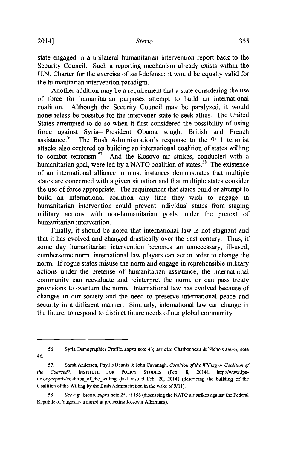state engaged in a unilateral humanitarian intervention report back to the Security Council. Such a reporting mechanism already exists within the **U.N.** Charter for the exercise of self-defense; it would be equally valid for the humanitarian intervention paradigm.

Another addition may be a requirement that a state considering the use of force for humanitarian purposes attempt to build an international coalition. Although the Security Council may be paralyzed, it would nonetheless be possible for the intervener state to seek allies. The United States attempted to do so when it first considered the possibility of using force against Syria-President Obama sought British and French assistance.56 The Bush Administration's response to the **9/11** terrorist attacks also centered on building an international coalition of states willing to combat terrorism.<sup>57</sup> And the Kosovo air strikes, conducted with a humanitarian goal, were led **by** a **NATO** coalition of states.58 The existence of an international alliance in most instances demonstrates that multiple states are concerned with a given situation and that multiple states consider the use of force appropriate. The requirement that states build or attempt to build an international coalition any time they wish to engage in humanitarian intervention could prevent individual states from staging military actions with non-humanitarian goals under the pretext of humanitarian intervention.

Finally, it should be noted that international law is not stagnant and that it has evolved and changed drastically over the past century. Thus, if some day humanitarian intervention becomes an unnecessary, ill-used, cumbersome norm, international law players can act in order to change the norm. **If** rogue states misuse the norm and engage in reprehensible military actions under the pretense of humanitarian assistance, the international community can reevaluate and reinterpret the norm, or can pass treaty provisions to overturn the norm. International law has evolved because of changes in our society and the need to preserve international peace and security in a different manner. Similarly, international law can change in the future, to respond to distinct future needs of our global community.

**<sup>56.</sup>** Syria Demographics Profile, *supra* note 43; *see also* Charbonneau **&** Nichols *supra, note* 46.

*<sup>57.</sup>* Sarah Anderson, Phyllis Bennis **&** John Cavanagh, *Coalition of the Willing or Coalition of the Coerced?,* **INSTITUTE** FOR POLICY **STUDIES** (Feb. **8,** 2014), http://www.ipsdc.org/reports/coalition of the willing (last visited Feb. 20, 2014) (describing the building of the Coalition of the Willing **by** the Bush Administration in the wake of 9/1 **1).**

*<sup>58.</sup> See e.g., Sterio, supra* note **25,** at **156** (discussing the **NATO** air strikes against the Federal Republic of Yugoslavia aimed at protecting Kosovar Albanians).